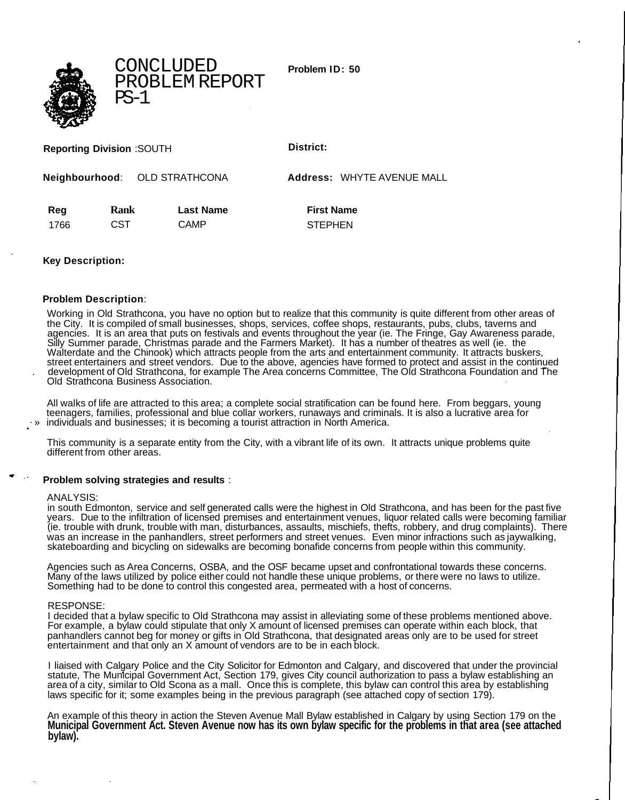**Problem ID: 50**



CONCLUDED PROBLEM REPORT PS-1

**Reporting Division** :SOUTH **District:**

**Neighbourhood**: OLD STRATHCONA **Address:** WHYTE AVENUE MALL **Reg Rank Last Name First Name**

1766 **CST CAMP STEPHEN** 

**Key Description:**

# **Problem Description**:

Working in Old Strathcona, you have no option but to realize that this community is quite different from other areas of the City. It is compiled of small businesses, shops, services, coffee shops, restaurants, pubs, clubs, taverns and agencies. It is an area that puts on festivals and events throughout the year (ie. The Fringe, Gay Awareness parade, Silly Summer parade, Christmas parade and the Farmers Market). It has a number of theatres as well (ie. the Walterdate and the Chinook) which attracts people from the arts and entertainment community. It attracts buskers, street entertainers and street vendors. Due to the above, agencies have formed to protect and assist in the continued . development of Old Strathcona, for example The Area concerns Committee, The Old Strathcona Foundation and The Old Strathcona Business Association.

All walks of life are attracted to this area; a complete social stratification can be found here. From beggars, young teenagers, families, professional and blue collar workers, runaways and criminals. It is also a lucrative area for individuals and businesses; it is becoming a tourist attraction in North America.

This community is a separate entity from the City, with a vibrant life of its own. It attracts unique problems quite different from other areas.

# **Problem solving strategies and results** :

### ANALYSIS:

in south Edmonton, service and self generated calls were the highest in Old Strathcona, and has been for the past five years. Due to the infiltration of licensed premises and entertainment venues, liquor related calls were becoming familiar (ie. trouble with drunk, trouble with man, disturbances, assaults, mischiefs, thefts, robbery, and drug complaints). There was an increase in the panhandlers, street performers and street venues. Even minor infractions such as jaywalking, skateboarding and bicycling on sidewalks are becoming bonafide concerns from people within this community.

Agencies such as Area Concerns, OSBA, and the OSF became upset and confrontational towards these concerns. Many of the laws utilized by police either could not handle these unique problems, or there were no laws to utilize. Something had to be done to control this congested area, permeated with a host of concerns.

# RESPONSE:

I decided that a bylaw specific to Old Strathcona may assist in alleviating some of these problems mentioned above. For example, a bylaw could stipulate that only X amount of licensed premises can operate within each block, that panhandlers cannot beg for money or gifts in Old Strathcona, that designated areas only are to be used for street entertainment and that only an X amount of vendors are to be in each block.

I liaised with Calgary Police and the City Solicitor for Edmonton and Calgary, and discovered that under the provincial statute, The Municipal Government Act, Section 179, gives City council authorization to pass a bylaw establishing an area of a city, similar to Old Scona as a mall. Once this is complete, this bylaw can control this area by establishing laws specific for it; some examples being in the previous paragraph (see attached copy of section 179).

An example of this theory in action the Steven Avenue Mall Bylaw established in Calgary by using Section 179 on the **Municipal Government Act. Steven Avenue now has its own bylaw specific for the problems in that area (see attached bylaw).**